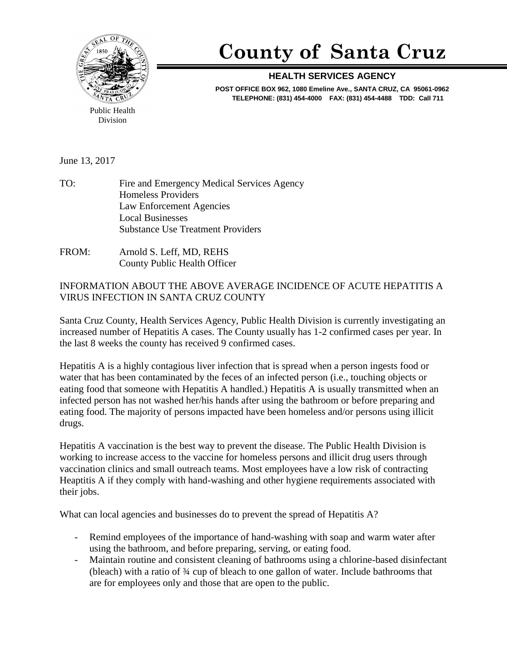

## **County of Santa Cruz**

## **HEALTH SERVICES AGENCY**

**POST OFFICE BOX 962, 1080 Emeline Ave., SANTA CRUZ, CA 95061-0962 TELEPHONE: (831) 454-4000 FAX: (831) 454-4488 TDD: Call 711**

Public Health Division

June 13, 2017

- TO: Fire and Emergency Medical Services Agency Homeless Providers Law Enforcement Agencies Local Businesses Substance Use Treatment Providers
- FROM: Arnold S. Leff, MD, REHS County Public Health Officer

INFORMATION ABOUT THE ABOVE AVERAGE INCIDENCE OF ACUTE HEPATITIS A VIRUS INFECTION IN SANTA CRUZ COUNTY

Santa Cruz County, Health Services Agency, Public Health Division is currently investigating an increased number of Hepatitis A cases. The County usually has 1-2 confirmed cases per year. In the last 8 weeks the county has received 9 confirmed cases.

Hepatitis A is a highly contagious liver infection that is spread when a person ingests food or water that has been contaminated by the feces of an infected person (i.e., touching objects or eating food that someone with Hepatitis A handled.) Hepatitis A is usually transmitted when an infected person has not washed her/his hands after using the bathroom or before preparing and eating food. The majority of persons impacted have been homeless and/or persons using illicit drugs.

Hepatitis A vaccination is the best way to prevent the disease. The Public Health Division is working to increase access to the vaccine for homeless persons and illicit drug users through vaccination clinics and small outreach teams. Most employees have a low risk of contracting Heaptitis A if they comply with hand-washing and other hygiene requirements associated with their jobs.

What can local agencies and businesses do to prevent the spread of Hepatitis A?

- Remind employees of the importance of hand-washing with soap and warm water after using the bathroom, and before preparing, serving, or eating food.
- Maintain routine and consistent cleaning of bathrooms using a chlorine-based disinfectant (bleach) with a ratio of ¾ cup of bleach to one gallon of water. Include bathrooms that are for employees only and those that are open to the public.